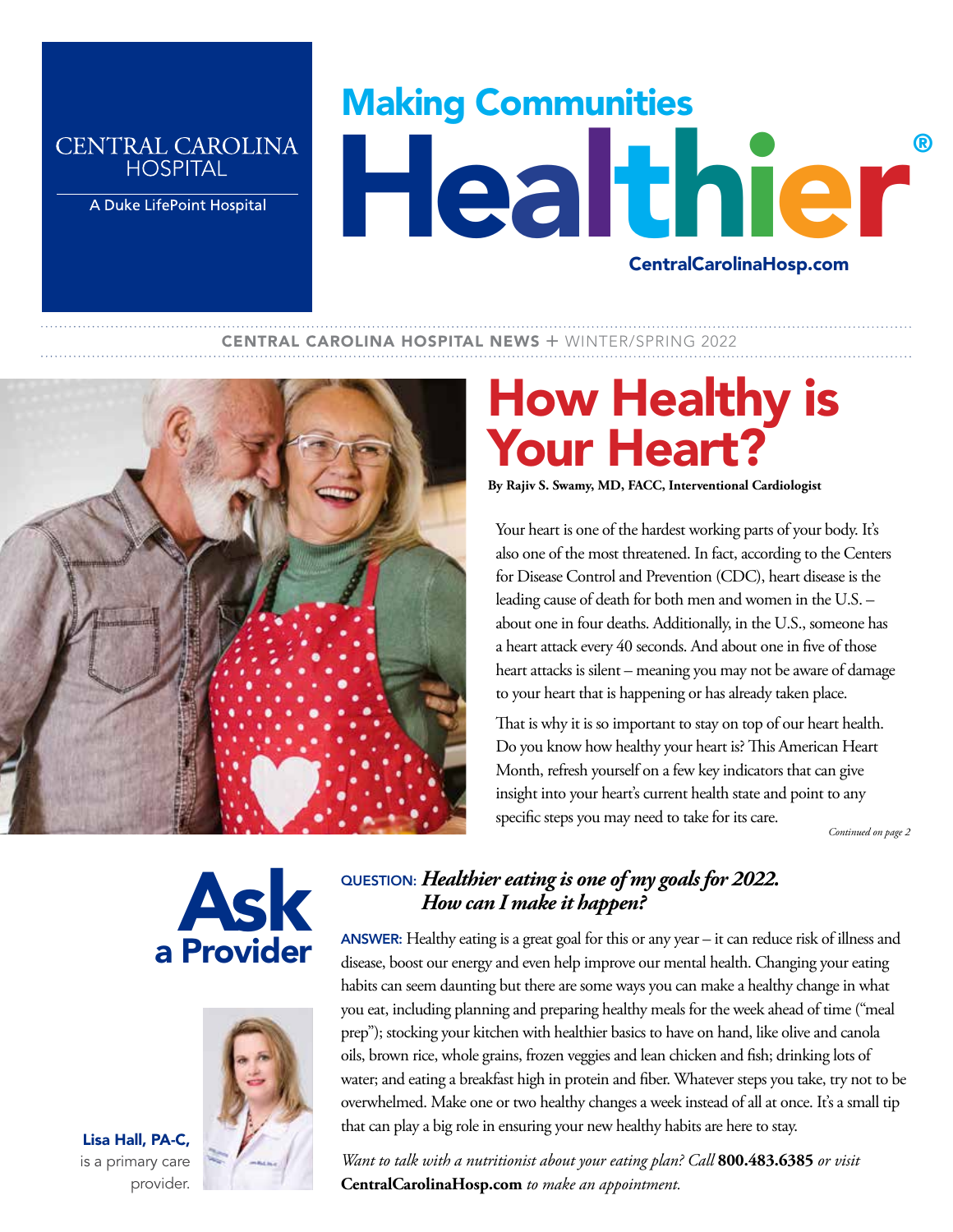### **CENTRAL CAROLINA HOSPITAL**

A Duke LifePoint Hospital

# Making Communities Healthier ® CentralCarolinaHosp.com

### **CENTRAL CAROLINA HOSPITAL NEWS + WINTER/SPRING 2022**



# How Healthy is Your Heart?

**By Rajiv S. Swamy, MD, FACC, Interventional Cardiologist**

Your heart is one of the hardest working parts of your body. It's also one of the most threatened. In fact, according to the Centers for Disease Control and Prevention (CDC), heart disease is the leading cause of death for both men and women in the U.S. – about one in four deaths. Additionally, in the U.S., someone has a heart attack every 40 seconds. And about one in five of those heart attacks is silent – meaning you may not be aware of damage to your heart that is happening or has already taken place.

That is why it is so important to stay on top of our heart health. Do you know how healthy your heart is? This American Heart Month, refresh yourself on a few key indicators that can give insight into your heart's current health state and point to any specific steps you may need to take for its care.

 *Continued on page 2*





Lisa Hall, PA-C, is a primary care

provider.

## QUESTION: *Healthier eating is one of my goals for 2022. How can I make it happen?*

ANSWER: Healthy eating is a great goal for this or any year - it can reduce risk of illness and disease, boost our energy and even help improve our mental health. Changing your eating habits can seem daunting but there are some ways you can make a healthy change in what you eat, including planning and preparing healthy meals for the week ahead of time ("meal prep"); stocking your kitchen with healthier basics to have on hand, like olive and canola oils, brown rice, whole grains, frozen veggies and lean chicken and fish; drinking lots of water; and eating a breakfast high in protein and fiber. Whatever steps you take, try not to be overwhelmed. Make one or two healthy changes a week instead of all at once. It's a small tip that can play a big role in ensuring your new healthy habits are here to stay.

*Want to talk with a nutritionist about your eating plan? Call* **800.483.6385** *or visit*  **CentralCarolinaHosp.com** *to make an appointment.*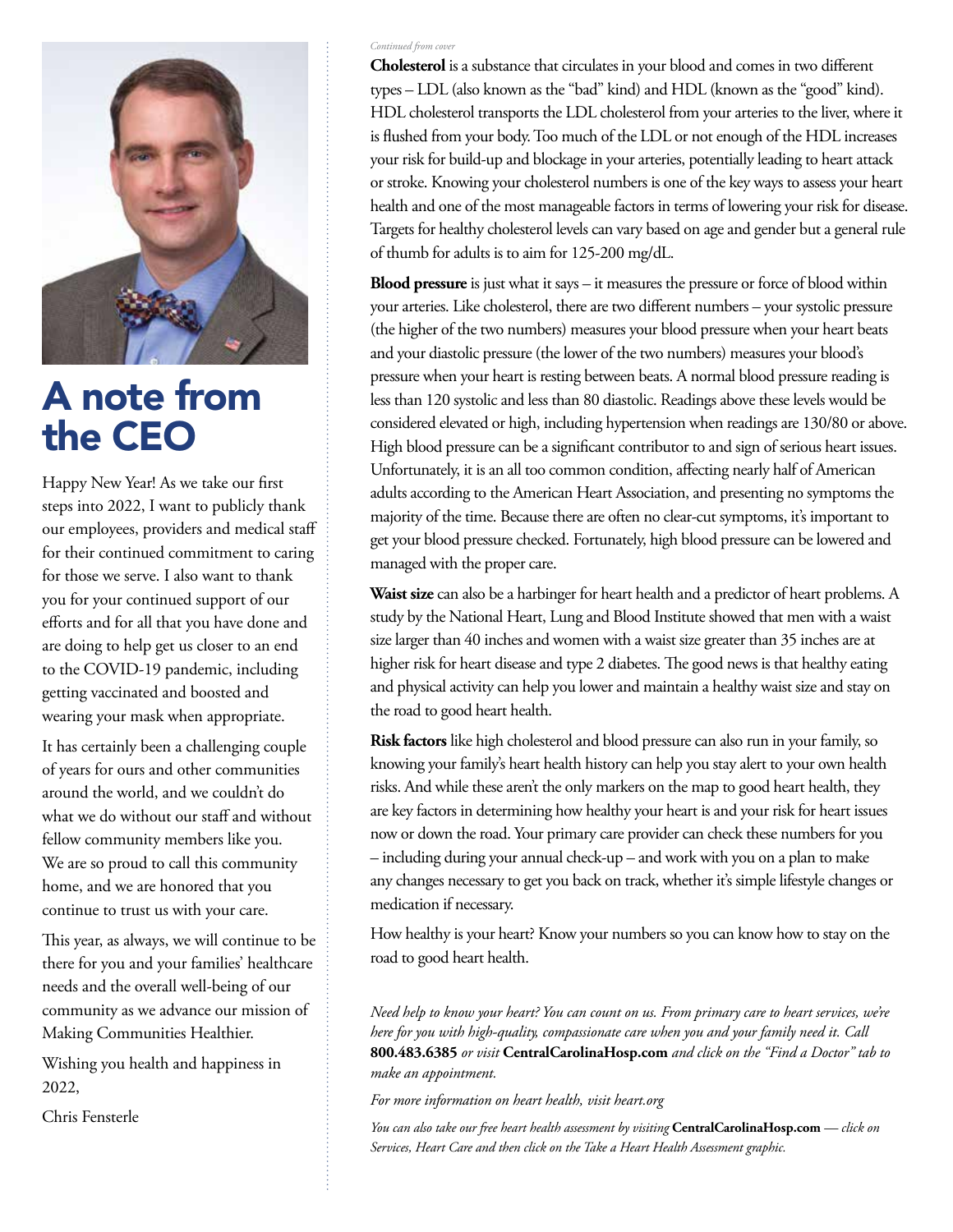

## A note from the CEO

Happy New Year! As we take our first steps into 2022, I want to publicly thank our employees, providers and medical staff for their continued commitment to caring for those we serve. I also want to thank you for your continued support of our efforts and for all that you have done and are doing to help get us closer to an end to the COVID-19 pandemic, including getting vaccinated and boosted and wearing your mask when appropriate.

It has certainly been a challenging couple of years for ours and other communities around the world, and we couldn't do what we do without our staff and without fellow community members like you. We are so proud to call this community home, and we are honored that you continue to trust us with your care.

This year, as always, we will continue to be there for you and your families' healthcare needs and the overall well-being of our community as we advance our mission of Making Communities Healthier.

Wishing you health and happiness in 2022,

Chris Fensterle

#### *Continued from cover*

**Cholesterol** is a substance that circulates in your blood and comes in two different types – LDL (also known as the "bad" kind) and HDL (known as the "good" kind). HDL cholesterol transports the LDL cholesterol from your arteries to the liver, where it is flushed from your body. Too much of the LDL or not enough of the HDL increases your risk for build-up and blockage in your arteries, potentially leading to heart attack or stroke. Knowing your cholesterol numbers is one of the key ways to assess your heart health and one of the most manageable factors in terms of lowering your risk for disease. Targets for healthy cholesterol levels can vary based on age and gender but a general rule of thumb for adults is to aim for 125-200 mg/dL.

**Blood pressure** is just what it says – it measures the pressure or force of blood within your arteries. Like cholesterol, there are two different numbers – your systolic pressure (the higher of the two numbers) measures your blood pressure when your heart beats and your diastolic pressure (the lower of the two numbers) measures your blood's pressure when your heart is resting between beats. A normal blood pressure reading is less than 120 systolic and less than 80 diastolic. Readings above these levels would be considered elevated or high, including hypertension when readings are 130/80 or above. High blood pressure can be a significant contributor to and sign of serious heart issues. Unfortunately, it is an all too common condition, affecting nearly half of American adults according to the American Heart Association, and presenting no symptoms the majority of the time. Because there are often no clear-cut symptoms, it's important to get your blood pressure checked. Fortunately, high blood pressure can be lowered and managed with the proper care.

**Waist size** can also be a harbinger for heart health and a predictor of heart problems. A study by the National Heart, Lung and Blood Institute showed that men with a waist size larger than 40 inches and women with a waist size greater than 35 inches are at higher risk for heart disease and type 2 diabetes. The good news is that healthy eating and physical activity can help you lower and maintain a healthy waist size and stay on the road to good heart health.

**Risk factors** like high cholesterol and blood pressure can also run in your family, so knowing your family's heart health history can help you stay alert to your own health risks. And while these aren't the only markers on the map to good heart health, they are key factors in determining how healthy your heart is and your risk for heart issues now or down the road. Your primary care provider can check these numbers for you – including during your annual check-up – and work with you on a plan to make any changes necessary to get you back on track, whether it's simple lifestyle changes or medication if necessary.

How healthy is your heart? Know your numbers so you can know how to stay on the road to good heart health.

*Need help to know your heart? You can count on us. From primary care to heart services, we're here for you with high-quality, compassionate care when you and your family need it. Call*  **800.483.6385** *or visit* **CentralCarolinaHosp.com** *and click on the "Find a Doctor" tab to make an appointment.* 

*For more information on heart health, visit heart.org* 

*You can also take our free heart health assessment by visiting* **CentralCarolinaHosp.com** *— click on Services, Heart Care and then click on the Take a Heart Health Assessment graphic.*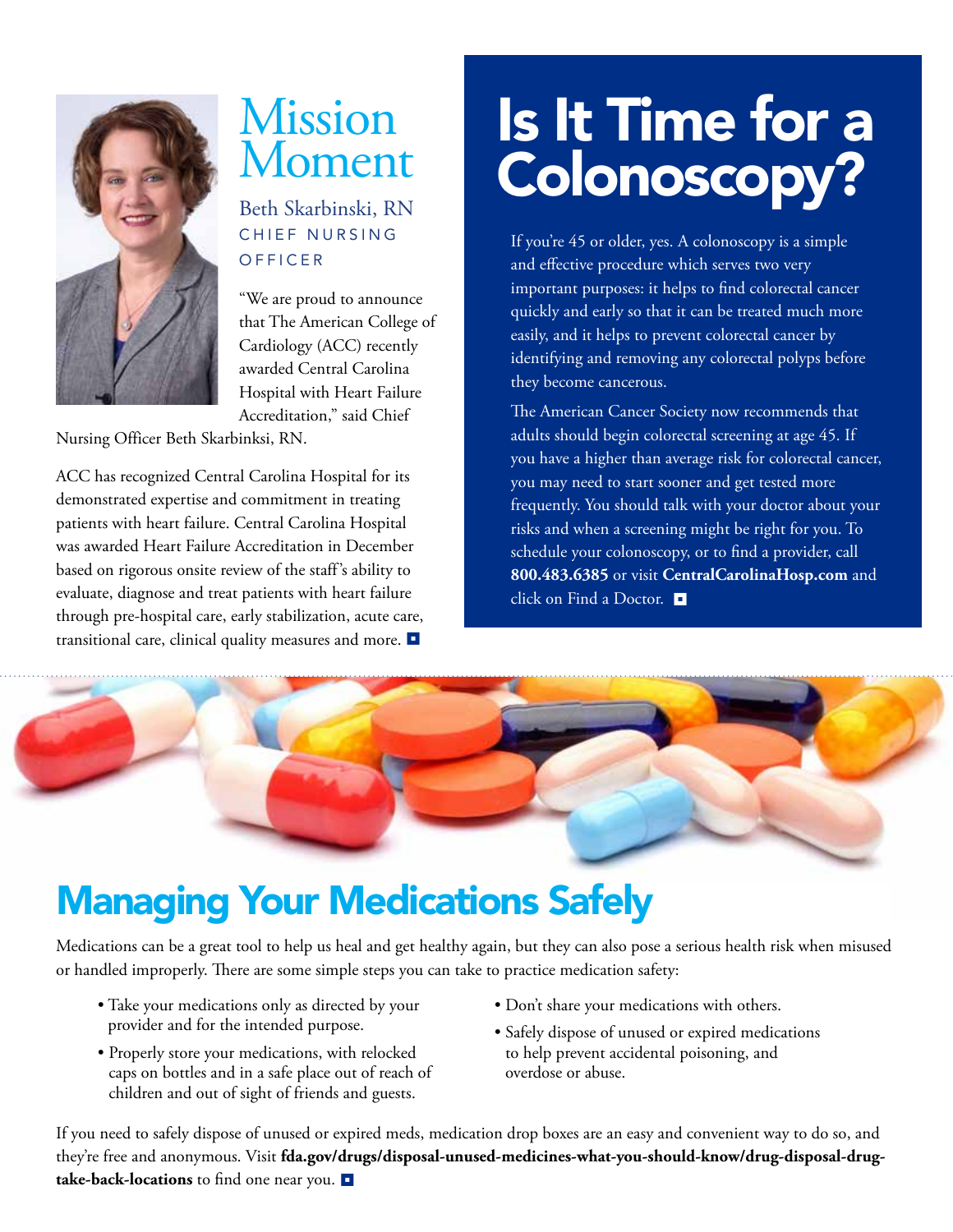

## Mission Moment

Beth Skarbinski, RN CHIEF NURSING **OFFICER** 

"We are proud to announce that The American College of Cardiology (ACC) recently awarded Central Carolina Hospital with Heart Failure Accreditation," said Chief

Nursing Officer Beth Skarbinksi, RN.

ACC has recognized Central Carolina Hospital for its demonstrated expertise and commitment in treating patients with heart failure. Central Carolina Hospital was awarded Heart Failure Accreditation in December based on rigorous onsite review of the staff's ability to evaluate, diagnose and treat patients with heart failure through pre-hospital care, early stabilization, acute care, transitional care, clinical quality measures and more.

# Is It Time for a Colonoscopy?

If you're 45 or older, yes. A colonoscopy is a simple and effective procedure which serves two very important purposes: it helps to find colorectal cancer quickly and early so that it can be treated much more easily, and it helps to prevent colorectal cancer by identifying and removing any colorectal polyps before they become cancerous.

The American Cancer Society now recommends that adults should begin colorectal screening at age 45. If you have a higher than average risk for colorectal cancer, you may need to start sooner and get tested more frequently. You should talk with your doctor about your risks and when a screening might be right for you. To schedule your colonoscopy, or to find a provider, call **800.483.6385** or visit **CentralCarolinaHosp.com** and click on Find a Doctor.



## Managing Your Medications Safely

Medications can be a great tool to help us heal and get healthy again, but they can also pose a serious health risk when misused or handled improperly. There are some simple steps you can take to practice medication safety:

- Take your medications only as directed by your provider and for the intended purpose.
- Properly store your medications, with relocked caps on bottles and in a safe place out of reach of children and out of sight of friends and guests.
- Don't share your medications with others.
- Safely dispose of unused or expired medications to help prevent accidental poisoning, and overdose or abuse.

If you need to safely dispose of unused or expired meds, medication drop boxes are an easy and convenient way to do so, and they're free and anonymous. Visit **fda.gov/drugs/disposal-unused-medicines-what-you-should-know/drug-disposal-drugtake-back-locations** to find one near you.